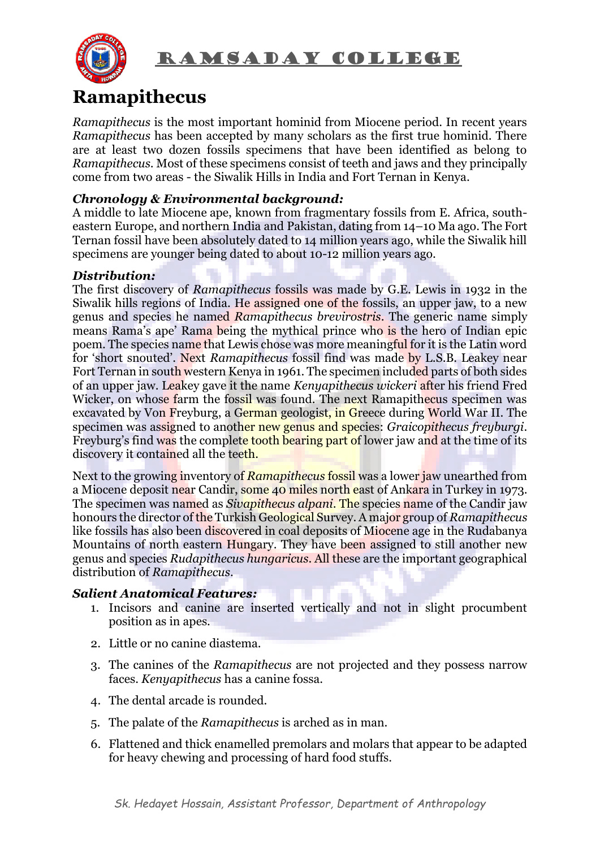

### RAMSADAY COLLEGE

## **Ramapithecus**

*Ramapithecus* is the most important hominid from Miocene period. In recent years *Ramapithecus* has been accepted by many scholars as the first true hominid. There are at least two dozen fossils specimens that have been identified as belong to *Ramapithecus*. Most of these specimens consist of teeth and jaws and they principally come from two areas - the Siwalik Hills in India and Fort Ternan in Kenya.

#### *Chronology & Environmental background:*

A middle to late [Miocene](https://www.encyclopedia.com/earth-and-environment/geology-and-oceanography/geology-and-oceanography/miocene-epoch#1O8Miocene) ape, known from fragmentary fossils from E. Africa, southeastern [Europe,](https://www.encyclopedia.com/places/oceans-continents-and-polar-regions/oceans-and-continents/europe) and northern [India](https://www.encyclopedia.com/places/asia/indian-political-geography/india) and [Pakistan,](https://www.encyclopedia.com/places/asia/pakistan-and-bangladesh-political-geography/pakistan) dating from 14–10 Ma ago. The Fort Ternan fossil have been absolutely dated to 14 million years ago, while the Siwalik hill specimens are younger being dated to about 10-12 million years ago.

#### *Distribution:*

The first discovery of *Ramapithecus* fossils was made by G.E. Lewis in 1932 in the Siwalik hills regions of India. He assigned one of the fossils, an upper jaw, to a new genus and species he named *Ramapithecus brevirostris*. The generic name simply means Rama's ape' Rama being the mythical prince who is the hero of Indian epic poem. The species name that Lewis chose was more meaningful for it is the Latin word for 'short snouted'. Next *Ramapithecus* fossil find was made by L.S.B. Leakey near Fort Ternan in south western Kenya in 1961. The specimen included parts of both sides of an upper jaw. Leakey gave it the name *Kenyapithecus wickeri* after his friend Fred Wicker, on whose farm the fossil was found. The next Ramapithecus specimen was excavated by Von Freyburg, a German geologist, in Greece during World War II. The specimen was assigned to another new genus and species: *Graicopithecus freyburgi*. Freyburg's find was the complete tooth bearing part of lower jaw and at the time of its discovery it contained all the teeth.

Next to the growing inventory of *Ramapithecus* fossil was a lower jaw unearthed from a Miocene deposit near Candir, some 40 miles north east of Ankara in Turkey in 1973. The specimen was named as *Sivapithecus alpani*. The species name of the Candir jaw honours the director of the Turkish Geological Survey. A major group of *Ramapithecus* like fossils has also been discovered in coal deposits of Miocene age in the Rudabanya Mountains of north eastern Hungary. They have been assigned to still another new genus and species *Rudapithecus hungaricus*. All these are the important geographical distribution of *Ramapithecus*.

#### *Salient Anatomical Features:*

- 1. Incisors and canine are inserted vertically and not in slight procumbent position as in apes.
- 2. Little or no canine diastema.
- 3. The canines of the *Ramapithecus* are not projected and they possess narrow faces. *Kenyapithecus* has a canine fossa.
- 4. The dental arcade is rounded.
- 5. The palate of the *Ramapithecus* is arched as in man.
- 6. Flattened and thick enamelled premolars and molars that appear to be adapted for heavy chewing and processing of hard food stuffs.